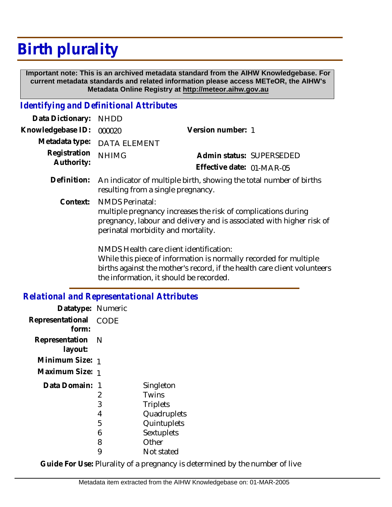## **Birth plurality**

 **Important note: This is an archived metadata standard from the AIHW Knowledgebase. For current metadata standards and related information please access METeOR, the AIHW's Metadata Online Registry at http://meteor.aihw.gov.au**

## *Identifying and Definitional Attributes*

| Data Dictionary:           | <b>NHDD</b>                                                                                                                                                                                           |                                                                                                                                                                                          |  |
|----------------------------|-------------------------------------------------------------------------------------------------------------------------------------------------------------------------------------------------------|------------------------------------------------------------------------------------------------------------------------------------------------------------------------------------------|--|
| Knowledgebase ID:          | 000020                                                                                                                                                                                                | Version number: 1                                                                                                                                                                        |  |
| Metadata type:             | DATA ELEMENT                                                                                                                                                                                          |                                                                                                                                                                                          |  |
| Registration<br>Authority: | <b>NHIMG</b>                                                                                                                                                                                          | Admin status: SUPERSEDED                                                                                                                                                                 |  |
|                            |                                                                                                                                                                                                       | Effective date: 01-MAR-05                                                                                                                                                                |  |
| Definition:                | An indicator of multiple birth, showing the total number of births<br>resulting from a single pregnancy.                                                                                              |                                                                                                                                                                                          |  |
| Context:                   | <b>NMDS Perinatal:</b><br>multiple pregnancy increases the risk of complications during<br>pregnancy, labour and delivery and is associated with higher risk of<br>perinatal morbidity and mortality. |                                                                                                                                                                                          |  |
|                            | the information, it should be recorded.                                                                                                                                                               | NMDS Health care client identification:<br>While this piece of information is normally recorded for multiple<br>births against the mother's record, if the health care client volunteers |  |

## *Relational and Representational Attributes*

| Datatype: Numeric           |      |                 |
|-----------------------------|------|-----------------|
| Representational<br>form:   | CODE |                 |
| Representation N<br>layout: |      |                 |
| Minimum Size: 1             |      |                 |
| Maximum Size: 1             |      |                 |
| Data Domain: 1              |      | Singleton       |
|                             | 2    | Twins           |
|                             | 3    | <b>Triplets</b> |
|                             | 4    | Quadruplets     |
|                             | 5    | Quintuplets     |
|                             | 6    | Sextuplets      |
|                             | 8    | Other           |
|                             | 9    | Not stated      |

**Guide For Use:** Plurality of a pregnancy is determined by the number of live